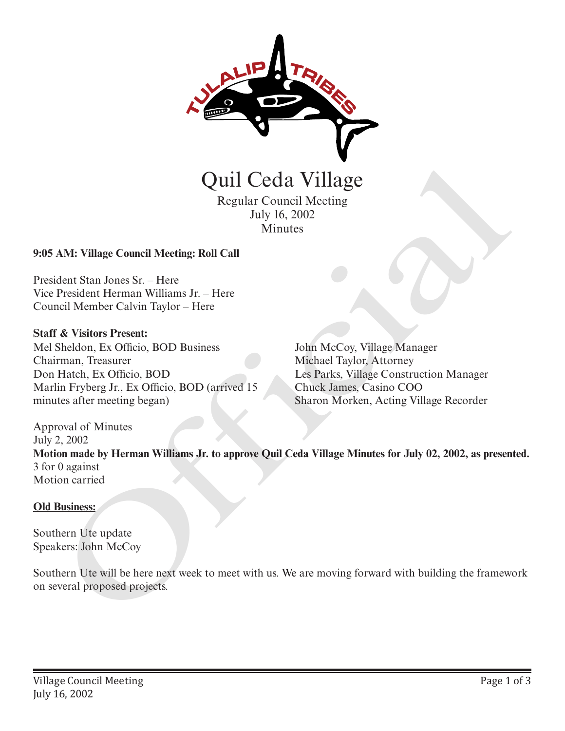

Regular Council Meeting July 16, 2002 Minutes

## **9:05 AM: Village Council Meeting: Roll Call**

President Stan Jones Sr. – Here Vice President Herman Williams Jr. – Here Council Member Calvin Taylor – Here

## **Staff & Visitors Present:**

Mel Sheldon, Ex Officio, BOD Business Chairman, Treasurer Don Hatch, Ex Officio, BOD Marlin Fryberg Jr., Ex Officio, BOD (arrived 15 minutes after meeting began)

John McCoy, Village Manager Michael Taylor, Attorney Les Parks, Village Construction Manager Chuck James, Casino COO Sharon Morken, Acting Village Recorder

Approval of Minutes July 2, 2002 **Motion made by Herman Williams Jr. to approve Quil Ceda Village Minutes for July 02, 2002, as presented.** 3 for 0 against Motion carried **CHA VIII CCCIA VIIIABOS**<br>
Regular Council Meeting<br>
July 16, 2002<br>
Minutes<br>
Minutes<br>
2005 AM: Village Council Meeting: Roll Call<br>
President Stan Jones Sr. – Here<br>
Council Member Calvin Taylor – Here<br>
Council Member Calvin

## **Old Business:**

Southern Ute update Speakers: John McCoy

Southern Ute will be here next week to meet with us. We are moving forward with building the framework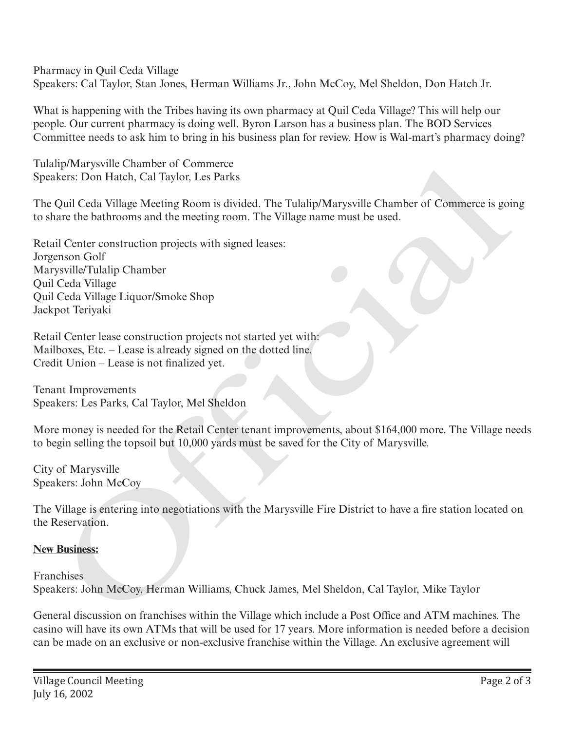Pharmacy in Quil Ceda Village Speakers: Cal Taylor, Stan Jones, Herman Williams Jr., John McCoy, Mel Sheldon, Don Hatch Jr.

What is happening with the Tribes having its own pharmacy at Quil Ceda Village? This will help our people. Our current pharmacy is doing well. Byron Larson has a business plan. The BOD Services Committee needs to ask him to bring in his business plan for review. How is Wal-mart's pharmacy doing?

Tulalip/Marysville Chamber of Commerce Speakers: Don Hatch, Cal Taylor, Les Parks

The Quil Ceda Village Meeting Room is divided. The Tulalip/Marysville Chamber of Commerce is going to share the bathrooms and the meeting room. The Village name must be used.

Retail Center construction projects with signed leases: Jorgenson Golf Marysville/Tulalip Chamber Quil Ceda Village Quil Ceda Village Liquor/Smoke Shop Jackpot Teriyaki np Marysonne Channeler of Commierce<br>
Recrs: Don Hatch, Cal Taylor, Les Parks<br>
Quil Ceda Village Meeting Room is divided. The Tulalip/Marysville Chamber of Commerce is goint<br>
are the bathrooms and the meeting room. The Vill

Retail Center lease construction projects not started yet with: Mailboxes, Etc. – Lease is already signed on the dotted line. Credit Union – Lease is not finalized yet.

Tenant Improvements Speakers: Les Parks, Cal Taylor, Mel Sheldon

More money is needed for the Retail Center tenant improvements, about \$164,000 more. The Village needs to begin selling the topsoil but 10,000 yards must be saved for the City of Marysville.

City of Marysville Speakers: John McCoy

The Village is entering into negotiations with the Marysville Fire District to have a fire station located on the Reservation.

## **New Business:**

**Franchises** Speakers: John McCoy, Herman Williams, Chuck James, Mel Sheldon, Cal Taylor, Mike Taylor

General discussion on franchises within the Village which include a Post Office and ATM machines. The casino will have its own ATMs that will be used for 17 years. More information is needed before a decision can be made on an exclusive or non-exclusive franchise within the Village. An exclusive agreement will